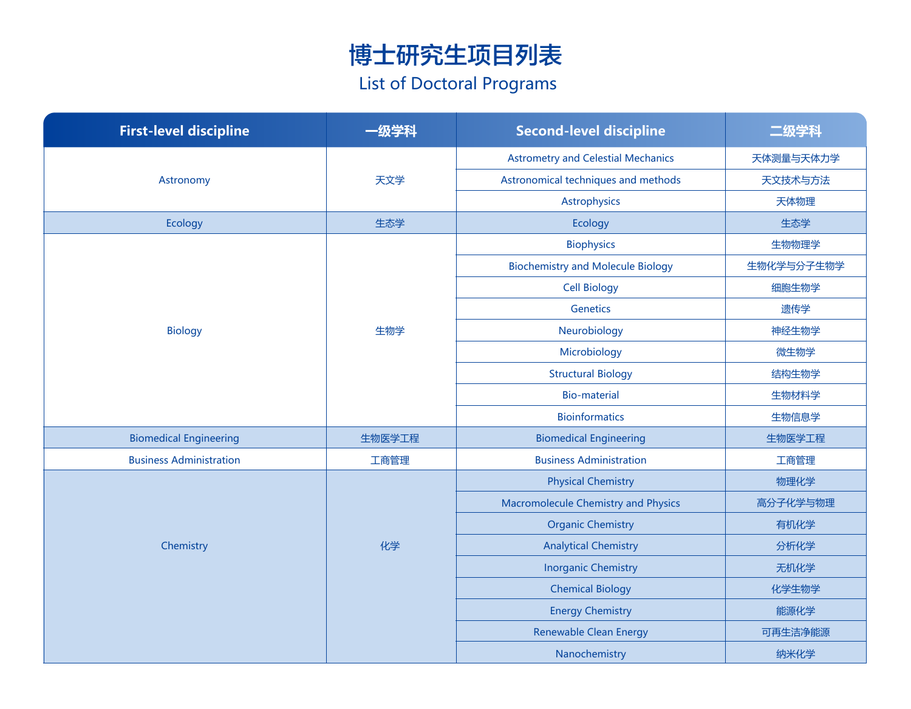## 博士研究生项目列表 List of Doctoral Programs

| <b>First-level discipline</b>  | -级学科   | <b>Second-level discipline</b>             | 二级学科       |
|--------------------------------|--------|--------------------------------------------|------------|
| Astronomy                      | 天文学    | <b>Astrometry and Celestial Mechanics</b>  | 天体测量与天体力学  |
|                                |        | Astronomical techniques and methods        | 天文技术与方法    |
|                                |        | Astrophysics                               | 天体物理       |
| Ecology                        | 生态学    | Ecology                                    | 生态学        |
|                                | 生物学    | <b>Biophysics</b>                          | 生物物理学      |
|                                |        | <b>Biochemistry and Molecule Biology</b>   | 生物化学与分子生物学 |
| <b>Biology</b>                 |        | <b>Cell Biology</b>                        | 细胞生物学      |
|                                |        | Genetics                                   | 遗传学        |
|                                |        | Neurobiology                               | 神经生物学      |
|                                |        | Microbiology                               | 微生物学       |
|                                |        | <b>Structural Biology</b>                  | 结构生物学      |
|                                |        | <b>Bio-material</b>                        | 生物材料学      |
|                                |        | <b>Bioinformatics</b>                      | 生物信息学      |
| <b>Biomedical Engineering</b>  | 生物医学工程 | <b>Biomedical Engineering</b>              | 生物医学工程     |
| <b>Business Administration</b> | 工商管理   | <b>Business Administration</b>             | 工商管理       |
| Chemistry                      | 化学     | <b>Physical Chemistry</b>                  | 物理化学       |
|                                |        | <b>Macromolecule Chemistry and Physics</b> | 高分子化学与物理   |
|                                |        | <b>Organic Chemistry</b>                   | 有机化学       |
|                                |        | <b>Analytical Chemistry</b>                | 分析化学       |
|                                |        | <b>Inorganic Chemistry</b>                 | 无机化学       |
|                                |        | <b>Chemical Biology</b>                    | 化学生物学      |
|                                |        | <b>Energy Chemistry</b>                    | 能源化学       |
|                                |        | <b>Renewable Clean Energy</b>              | 可再生洁净能源    |
|                                |        | Nanochemistry                              | 纳米化学       |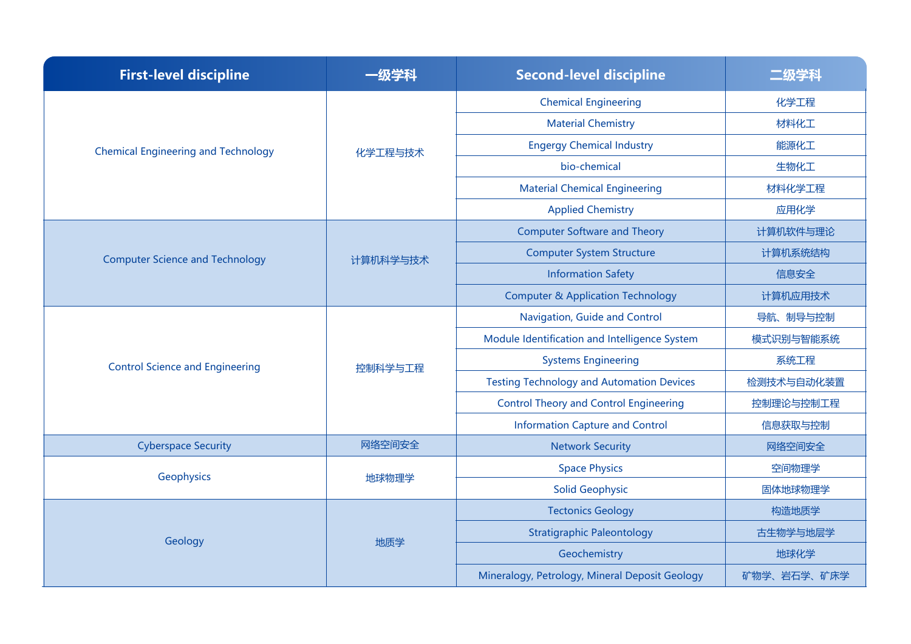| <b>First-level discipline</b>              | 一级学科     | <b>Second-level discipline</b>                   | 二级学科        |
|--------------------------------------------|----------|--------------------------------------------------|-------------|
|                                            | 化学工程与技术  | <b>Chemical Engineering</b>                      | 化学工程        |
|                                            |          | <b>Material Chemistry</b>                        | 材料化工        |
| <b>Chemical Engineering and Technology</b> |          | <b>Engergy Chemical Industry</b>                 | 能源化工        |
|                                            |          | bio-chemical                                     | 生物化工        |
|                                            |          | <b>Material Chemical Engineering</b>             | 材料化学工程      |
|                                            |          | <b>Applied Chemistry</b>                         | 应用化学        |
| <b>Computer Science and Technology</b>     | 计算机科学与技术 | <b>Computer Software and Theory</b>              | 计算机软件与理论    |
|                                            |          | <b>Computer System Structure</b>                 | 计算机系统结构     |
|                                            |          | <b>Information Safety</b>                        | 信息安全        |
|                                            |          | <b>Computer &amp; Application Technology</b>     | 计算机应用技术     |
|                                            |          | Navigation, Guide and Control                    | 导航、制导与控制    |
| <b>Control Science and Engineering</b>     | 控制科学与工程  | Module Identification and Intelligence System    | 模式识别与智能系统   |
|                                            |          | <b>Systems Engineering</b>                       | 系统工程        |
|                                            |          | <b>Testing Technology and Automation Devices</b> | 检测技术与自动化装置  |
|                                            |          | <b>Control Theory and Control Engineering</b>    | 控制理论与控制工程   |
|                                            |          | <b>Information Capture and Control</b>           | 信息获取与控制     |
| <b>Cyberspace Security</b>                 | 网络空间安全   | <b>Network Security</b>                          | 网络空间安全      |
| Geophysics                                 | 地球物理学    | <b>Space Physics</b>                             | 空间物理学       |
|                                            |          | <b>Solid Geophysic</b>                           | 固体地球物理学     |
| Geology                                    | 地质学      | <b>Tectonics Geology</b>                         | 构造地质学       |
|                                            |          | <b>Stratigraphic Paleontology</b>                | 古生物学与地层学    |
|                                            |          | Geochemistry                                     | 地球化学        |
|                                            |          | Mineralogy, Petrology, Mineral Deposit Geology   | 矿物学、岩石学、矿床学 |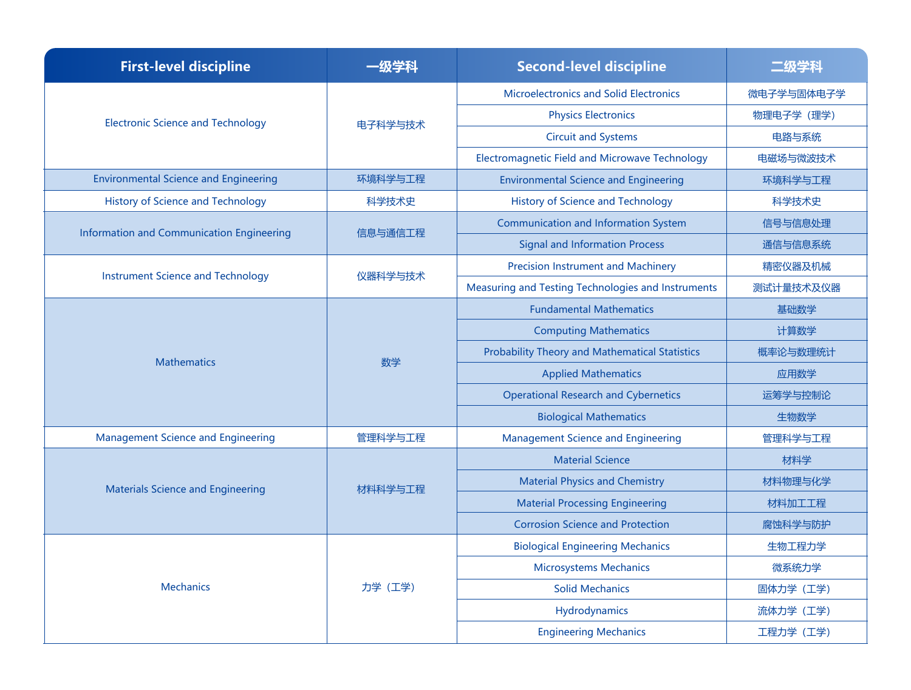| <b>First-level discipline</b>                | -级学科    | <b>Second-level discipline</b>                        | .纱字科       |
|----------------------------------------------|---------|-------------------------------------------------------|------------|
| <b>Electronic Science and Technology</b>     | 电子科学与技术 | <b>Microelectronics and Solid Electronics</b>         | 微电子学与固体电子学 |
|                                              |         | <b>Physics Electronics</b>                            | 物理电子学 (理学) |
|                                              |         | <b>Circuit and Systems</b>                            | 电路与系统      |
|                                              |         | Electromagnetic Field and Microwave Technology        | 电磁场与微波技术   |
| <b>Environmental Science and Engineering</b> | 环境科学与工程 | <b>Environmental Science and Engineering</b>          | 环境科学与工程    |
| <b>History of Science and Technology</b>     | 科学技术史   | <b>History of Science and Technology</b>              | 科学技术史      |
|                                              | 信息与通信工程 | <b>Communication and Information System</b>           | 信号与信息处理    |
| Information and Communication Engineering    |         | <b>Signal and Information Process</b>                 | 通信与信息系统    |
|                                              | 仪器科学与技术 | <b>Precision Instrument and Machinery</b>             | 精密仪器及机械    |
| <b>Instrument Science and Technology</b>     |         | Measuring and Testing Technologies and Instruments    | 测试计量技术及仪器  |
|                                              |         | <b>Fundamental Mathematics</b>                        | 基础数学       |
|                                              | 数学      | <b>Computing Mathematics</b>                          | 计算数学       |
| <b>Mathematics</b>                           |         | <b>Probability Theory and Mathematical Statistics</b> | 概率论与数理统计   |
|                                              |         | <b>Applied Mathematics</b>                            | 应用数学       |
|                                              |         | <b>Operational Research and Cybernetics</b>           | 运筹学与控制论    |
|                                              |         | <b>Biological Mathematics</b>                         | 生物数学       |
| <b>Management Science and Engineering</b>    | 管理科学与工程 | <b>Management Science and Engineering</b>             | 管理科学与工程    |
|                                              | 材料科学与工程 | <b>Material Science</b>                               | 材料学        |
| <b>Materials Science and Engineering</b>     |         | <b>Material Physics and Chemistry</b>                 | 材料物理与化学    |
|                                              |         | <b>Material Processing Engineering</b>                | 材料加工工程     |
|                                              |         | <b>Corrosion Science and Protection</b>               | 腐蚀科学与防护    |
|                                              | 力学 (工学) | <b>Biological Engineering Mechanics</b>               | 生物工程力学     |
| <b>Mechanics</b>                             |         | <b>Microsystems Mechanics</b>                         | 微系统力学      |
|                                              |         | <b>Solid Mechanics</b>                                | 固体力学 (工学)  |
|                                              |         | Hydrodynamics                                         | 流体力学 (工学)  |
|                                              |         | <b>Engineering Mechanics</b>                          | 工程力学 (工学)  |